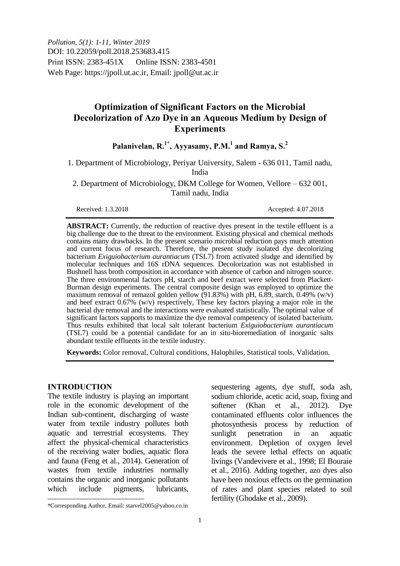*Pollution, 5(1): 1-11, Winter 2019* DOI: 10.22059/poll.2018.253683.415 Print ISSN: 2383-451X Online ISSN: 2383-4501 Web Page: https://jpoll.ut.ac.ir, Email: jpoll@ut.ac.ir

# **Optimization of Significant Factors on the Microbial Decolorization of Azo Dye in an Aqueous Medium by Design of Experiments**

## **Palanivelan, R.1\*, Ayyasamy, P.M.<sup>1</sup> and Ramya, S.<sup>2</sup>**

1. Department of Microbiology, Periyar University, Salem - 636 011, Tamil nadu, India

2. Department of Microbiology, DKM College for Women, Vellore – 632 001, Tamil nadu, India

Received: 1.3.2018 Accepted: 4.07.2018

**ABSTRACT:** Currently, the reduction of reactive dyes present in the textile effluent is a big challenge due to the threat to the environment. Existing physical and chemical methods contains many drawbacks. In the present scenario microbial reduction pays much attention and current focus of research. Therefore, the present study isolated dye decolorizing bacterium *Exiguiobacterium aurantiacum* (TSL7) from activated sludge and identified by molecular techniques and 16S rDNA sequences. Decolorization was not established in Bushnell hass broth composition in accordance with absence of carbon and nitrogen source. The three environmental factors pH, starch and beef extract were selected from Plackett-Burman design experiments. The central composite design was employed to optimize the maximum removal of remazol golden yellow  $(91.83%)$  with pH, 6.89, starch, 0.49% (w/v) and beef extract 0.67% (w/v) respectively, These key factors playing a major role in the bacterial dye removal and the interactions were evaluated statistically. The optimal value of significant factors supports to maximize the dye removal competency of isolated bacterium. Thus results exhibited that local salt tolerant bacterium *Exiguiobacterium aurantiacum* (TSL7) could be a potential candidate for an in situ-bioremediation of inorganic salts abundant textile effluents in the textile industry.

**Keywords:** Color removal, Cultural conditions, Halophiles, Statistical tools, Validation.

### **INTRODUCTION**

 $\overline{\phantom{a}}$ 

The textile industry is playing an important role in the economic development of the Indian sub-continent, discharging of waste water from textile industry pollutes both aquatic and terrestrial ecosystems. They affect the physical-chemical characteristics of the receiving water bodies, aquatic flora and fauna (Feng et al., 2014). Generation of wastes from textile industries normally contains the organic and inorganic pollutants which include pigments, lubricants,

sequestering agents, dye stuff, soda ash, sodium chloride, acetic acid, soap, fixing and softener (Khan et al., 2012). Dye contaminated effluents color influences the photosynthesis process by reduction of sunlight penetration in an aquatic environment. Depletion of oxygen level leads the severe lethal effects on aquatic livings (Vandevivere et al., 1998; El Bouraie et al., 2016). Adding together, azo dyes also have been noxious effects on the germination of rates and plant species related to soil fertility (Ghodake et al., 2009).

<sup>\*</sup>Corresponding Author, Email: starvel2005@yahoo.co.in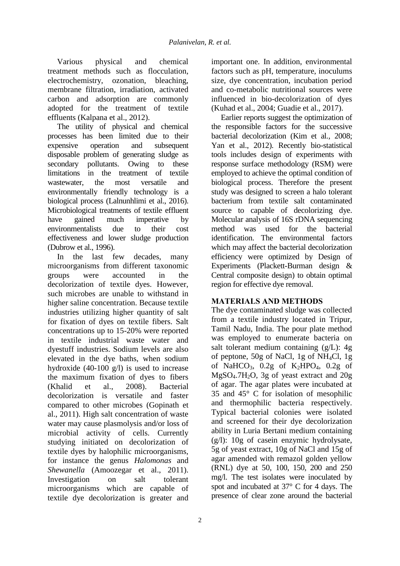Various physical and chemical treatment methods such as flocculation, electrochemistry, ozonation, bleaching, membrane filtration, irradiation, activated carbon and adsorption are commonly adopted for the treatment of textile effluents (Kalpana et al., 2012).

The utility of physical and chemical processes has been limited due to their expensive operation and subsequent disposable problem of generating sludge as secondary pollutants. Owing to these limitations in the treatment of textile wastewater, the most versatile and environmentally friendly technology is a biological process (Lalnunhlimi et al., 2016). Microbiological treatments of textile effluent have gained much imperative by environmentalists due to their cost effectiveness and lower sludge production (Dubrow et al., 1996).

In the last few decades, many microorganisms from different taxonomic groups were accounted in the decolorization of textile dyes. However, such microbes are unable to withstand in higher saline concentration. Because textile industries utilizing higher quantity of salt for fixation of dyes on textile fibers. Salt concentrations up to 15-20% were reported in textile industrial waste water and dyestuff industries. Sodium levels are also elevated in the dye baths, when sodium hydroxide (40-100 g/l) is used to increase the maximum fixation of dyes to fibers (Khalid et al., 2008). Bacterial decolorization is versatile and faster compared to other microbes (Gopinath et al., 2011). High salt concentration of waste water may cause plasmolysis and/or loss of microbial activity of cells. Currently studying initiated on decolorization of textile dyes by halophilic microorganisms, for instance the genus *Halomonas* and *Shewanella* (Amoozegar et al., 2011). Investigation on salt tolerant microorganisms which are capable of textile dye decolorization is greater and

important one. In addition, environmental factors such as pH, temperature, inoculums size, dye concentration, incubation period and co-metabolic nutritional sources were influenced in bio-decolorization of dyes (Kuhad et al., 2004; Guadie et al., 2017).

Earlier reports suggest the optimization of the responsible factors for the successive bacterial decolorization (Kim et al*.,* 2008; Yan et al., 2012). Recently bio-statistical tools includes design of experiments with response surface methodology (RSM) were employed to achieve the optimal condition of biological process. Therefore the present study was designed to screen a halo tolerant bacterium from textile salt contaminated source to capable of decolorizing dye. Molecular analysis of 16S rDNA sequencing method was used for the bacterial identification. The environmental factors which may affect the bacterial decolorization efficiency were optimized by Design of Experiments (Plackett-Burman design & Central composite design) to obtain optimal region for effective dye removal.

## **MATERIALS AND METHODS**

The dye contaminated sludge was collected from a textile industry located in Tripur, Tamil Nadu, India. The pour plate method was employed to enumerate bacteria on salt tolerant medium containing (g/L): 4g of peptone, 50g of NaCl, 1g of NH4Cl, 1g of NaHCO<sub>3</sub>,  $0.2g$  of K<sub>2</sub>HPO<sub>4</sub>,  $0.2g$  of MgSO4.7H2O, 3g of yeast extract and 20g of agar. The agar plates were incubated at 35 and 45° C for isolation of mesophilic and thermophilic bacteria respectively. Typical bacterial colonies were isolated and screened for their dye decolorization ability in Luria Bertani medium containing (g/l): 10g of casein enzymic hydrolysate, 5g of yeast extract, 10g of NaCl and 15g of agar amended with remazol golden yellow (RNL) dye at 50, 100, 150, 200 and 250 mg/l. The test isolates were inoculated by spot and incubated at 37° C for 4 days. The presence of clear zone around the bacterial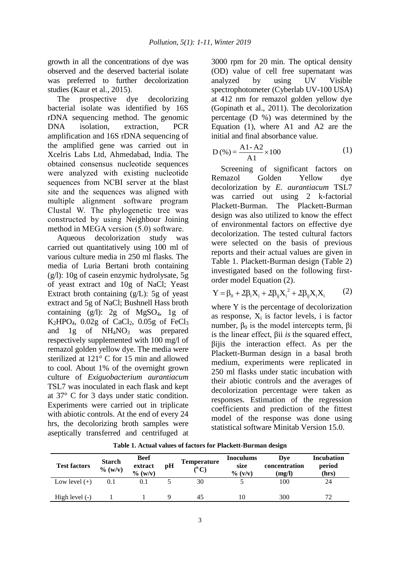growth in all the concentrations of dye was observed and the deserved bacterial isolate was preferred to further decolorization studies (Kaur et al., 2015).

The prospective dye decolorizing bacterial isolate was identified by 16S rDNA sequencing method. The genomic DNA isolation, extraction, PCR amplification and 16S rDNA sequencing of the amplified gene was carried out in Xcelris Labs Ltd, Ahmedabad, India. The obtained consensus nucleotide sequences were analyzed with existing nucleotide sequences from NCBI server at the blast site and the sequences was aligned with multiple alignment software program Clustal W. The phylogenetic tree was constructed by using Neighbour Joining method in MEGA version (5.0) software.

Aqueous decolorization study was carried out quantitatively using 100 ml of various culture media in 250 ml flasks. The media of Luria Bertani broth containing (g/l): 10g of casein enzymic hydrolysate, 5g of yeast extract and 10g of NaCl; Yeast Extract broth containing (g/L): 5g of yeast extract and 5g of NaCl; Bushnell Hass broth containing  $(g/l)$ : 2g of MgSO<sub>4</sub>, 1g of  $K<sub>2</sub>HPO<sub>4</sub>$ , 0.02g of CaCl<sub>2</sub>, 0.05g of FeCl<sub>3</sub> and 1g of  $NH<sub>4</sub>NO<sub>3</sub>$  was prepared respectively supplemented with 100 mg/l of remazol golden yellow dye. The media were sterilized at 121° C for 15 min and allowed to cool. About 1% of the overnight grown culture of *Exiguobacterium aurantiacum* TSL7 was inoculated in each flask and kept at 37° C for 3 days under static condition. Experiments were carried out in triplicate with abiotic controls. At the end of every 24 hrs, the decolorizing broth samples were aseptically transferred and centrifuged at

3000 rpm for 20 min. The optical density (OD) value of cell free supernatant was analyzed by using UV Visible spectrophotometer (Cyberlab UV-100 USA) at 412 nm for remazol golden yellow dye (Gopinath et al., 2011). The decolorization percentage (D %) was determined by the Equation (1), where A1 and A2 are the initial and final absorbance value.

$$
D(\%)=\frac{A1-A2}{A1}\times 100
$$
 (1)

Screening of significant factors on Remazol Golden Yellow dye decolorization by *E. aurantiacum* TSL7 was carried out using 2 k-factorial Plackett-Burman. The Plackett-Burman design was also utilized to know the effect of environmental factors on effective dye decolorization. The tested cultural factors were selected on the basis of previous reports and their actual values are given in Table 1. Plackett-Burman design (Table 2) investigated based on the following first-

order model Equation (2).  
\n
$$
Y = \beta_0 + 2\beta_i X_i + 2\beta_{ij} X_i^2 + 2\beta_{ij} X_i X_i
$$
 (2)

where Y is the percentage of decolorization as response,  $X_i$  is factor levels, i is factor number,  $β_0$  is the model intercepts term,  $β$ i is the linear effect, βii *is* the squared effect, βijis the interaction effect. As per the Plackett-Burman design in a basal broth medium, experiments were replicated in 250 ml flasks under static incubation with their abiotic controls and the averages of decolorization percentage were taken as responses. Estimation of the regression coefficients and prediction of the fittest model of the response was done using statistical software Minitab Version 15.0.

| <b>Test factors</b> | <b>Starch</b><br>$\%$ (w/v) | <b>Beef</b><br>extract<br>$\%$ (w/v) | pH | <b>Temperature</b><br>$(^{\circ}C)$ | <b>Inoculums</b><br>size<br>$\%$ (v/v) | Dve<br>concentration<br>(mg/l) | <b>Incubation</b><br>period<br>(hrs) |
|---------------------|-----------------------------|--------------------------------------|----|-------------------------------------|----------------------------------------|--------------------------------|--------------------------------------|
| Low level $(+)$     | 0.1                         | 0.1                                  |    | 30                                  |                                        | 100                            | 24                                   |
| High level (-)      |                             |                                      |    | 45                                  | 10                                     | 300                            | 72                                   |

**Table 1. Actual values of factors for Plackett-Burman design**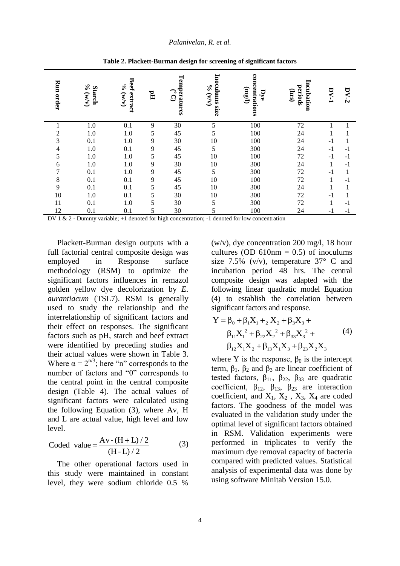| Run order                | $\%$<br><b>Starch</b><br>(M/M) | <b>Beef</b><br>$\mathcal{S}_{\mathbf{0}}$<br>extract<br>(M/M) | $\Xi$          | Temperatures<br>$\bigcirc$<br>$\mathbf{\Omega}$ | Inoculums size<br>O(6M) | concentrations<br>(1/3u)<br>Dye | Incubation<br>periods<br>(sur) | $DY-1$ | $DY-2$ |
|--------------------------|--------------------------------|---------------------------------------------------------------|----------------|-------------------------------------------------|-------------------------|---------------------------------|--------------------------------|--------|--------|
| 1                        | 1.0                            | 0.1                                                           | 9              | 30                                              | 5                       | 100                             | 72                             |        |        |
| 2                        | 1.0                            | 1.0                                                           | 5              | 45                                              | 5                       | 100                             | 24                             |        |        |
| 3                        | 0.1                            | 1.0                                                           | 9              | 30                                              | 10                      | 100                             | 24                             | $-1$   | 1      |
| $\overline{\mathcal{A}}$ | 1.0                            | 0.1                                                           | 9              | 45                                              | 5                       | 300                             | 24                             | $-1$   | $-1$   |
| 5                        | 1.0                            | 1.0                                                           | 5              | 45                                              | 10                      | 100                             | $72\,$                         | $-1$   | $-1$   |
| 6                        | 1.0                            | 1.0                                                           | 9              | 30                                              | 10                      | 300                             | 24                             |        | $-1$   |
| 7                        | 0.1                            | 1.0                                                           | $\overline{9}$ | 45                                              | 5                       | 300                             | $72\,$                         | $-1$   |        |
| $8\,$                    | 0.1                            | 0.1                                                           | $\overline{9}$ | 45                                              | 10                      | 100                             | $72\,$                         |        | $-1$   |
| 9                        | 0.1                            | 0.1                                                           | 5              | 45                                              | 10                      | 300                             | 24                             |        |        |
| 10                       | 1.0                            | 0.1                                                           | 5              | 30                                              | 10                      | 300                             | $72\,$                         | $-1$   |        |
| 11                       | 0.1                            | 1.0                                                           | 5              | 30                                              | 5                       | 300                             | 72                             | 1      | $-1$   |
| 12                       | 0.1                            | 0.1                                                           | 5              | 30                                              | 5                       | 100                             | 24                             | $-1$   | $-1$   |

**Table 2. Plackett-Burman design for screening of significant factors** 

DV 1 & 2 - Dummy variable; +1 denoted for high concentration; -1 denoted for low concentration

Plackett-Burman design outputs with a full factorial central composite design was employed in Response surface methodology (RSM) to optimize the significant factors influences in remazol golden yellow dye decolorization by *E. aurantiacum* (TSL7). RSM is generally used to study the relationship and the interrelationship of significant factors and their effect on responses. The significant factors such as pH, starch and beef extract were identified by preceding studies and their actual values were shown in Table 3. Where  $\alpha = 2^{n/3}$ ; here "n" corresponds to the number of factors and "0" corresponds to the central point in the central composite design (Table 4). The actual values of significant factors were calculated using the following Equation (3), where Av, H and L are actual value, high level and low level.

$$
Coded \ value = \frac{Av - (H + L)/2}{(H - L)/2}
$$
 (3)

The other operational factors used in this study were maintained in constant level, they were sodium chloride 0.5 %

(w/v), dye concentration 200 mg/l, 18 hour cultures (OD  $610nm = 0.5$ ) of inoculums size 7.5% (v/v), temperature  $37^{\circ}$  C and incubation period 48 hrs. The central composite design was adapted with the following linear quadratic model Equation (4) to establish the correlation between

\n significant factors and response. \n 
$$
Y = \beta_0 + \beta_1 X_1 +_2 X_2 + \beta_3 X_3 + \beta_{11} X_1^2 + \beta_{22} X_2^2 + \beta_{33} X_3^2 + \beta_{12} X_1 X_2 + \beta_{13} X_1 X_3 + \beta_{23} X_2 X_3
$$
\n

where Y is the response,  $\beta_0$  is the intercept term,  $\beta_1$ ,  $\beta_2$  and  $\beta_3$  are linear coefficient of tested factors,  $\beta_{11}$ ,  $\beta_{22}$ ,  $\beta_{33}$  are quadratic coefficient,  $\beta_{12}$ ,  $\beta_{13}$ ,  $\beta_{23}$  are interaction coefficient, and  $X_1, X_2, X_3, X_4$  are coded factors. The goodness of the model was evaluated in the validation study under the optimal level of significant factors obtained in RSM. Validation experiments were performed in triplicates to verify the maximum dye removal capacity of bacteria compared with predicted values. Statistical analysis of experimental data was done by using software Minitab Version 15.0.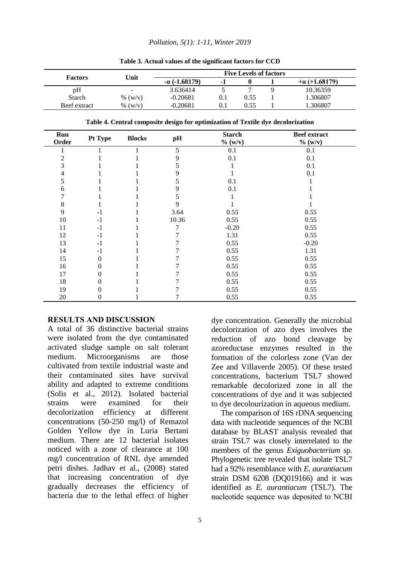#### *Pollution, 5(1): 1-11, Winter 2019*

|                |         |               | <b>Five Levels of factors</b>                                                    |                             |              |          |                                |  |  |
|----------------|---------|---------------|----------------------------------------------------------------------------------|-----------------------------|--------------|----------|--------------------------------|--|--|
| <b>Factors</b> |         | Unit          | $-\alpha$ ( $-1.68179$ )                                                         | $-1$                        | $\mathbf{0}$ | 1        | $+a (+1.68179)$                |  |  |
| pH             |         |               | 3.636414                                                                         | 5                           | 7            | 9        | 10.36359                       |  |  |
| Starch         |         | % $(w/v)$     | $-0.20681$                                                                       | 0.1                         | 0.55         |          | 1.306807                       |  |  |
| Beef extract   |         | % $(w/v)$     | $-0.20681$                                                                       | 0.1                         | 0.55         | 1.306807 |                                |  |  |
|                |         |               | Table 4. Central composite design for optimization of Textile dye decolorization |                             |              |          |                                |  |  |
| Run<br>Order   | Pt Type | <b>Blocks</b> | pH                                                                               | <b>Starch</b><br>$\%$ (w/v) |              |          | <b>Beef</b> extract<br>% (W/v) |  |  |
|                |         |               | 5                                                                                | 0.1                         |              |          | 0.1                            |  |  |
| 2              |         |               | 9                                                                                | 0.1                         |              |          | 0.1                            |  |  |
| 3              |         |               | 5                                                                                |                             |              |          | 0.1                            |  |  |
| 4              |         |               | 9                                                                                |                             |              |          | 0.1                            |  |  |
| 5              |         |               | 5                                                                                | 0.1                         |              |          |                                |  |  |
| 6              |         |               | 9                                                                                | 0.1                         |              |          |                                |  |  |
|                |         |               | 5                                                                                |                             |              |          |                                |  |  |
| 8              |         |               | 9                                                                                |                             |              |          |                                |  |  |
| 9              | $-1$    |               | 3.64                                                                             | 0.55                        |              |          | 0.55                           |  |  |
| 10             | $-1$    |               | 10.36                                                                            | 0.55                        |              |          | 0.55                           |  |  |
| 11             | $-1$    |               | 7                                                                                | $-0.20$                     |              |          | 0.55                           |  |  |
| 12             | $-1$    |               |                                                                                  | 1.31                        |              |          | 0.55                           |  |  |
| 13             | $-1$    |               |                                                                                  | 0.55                        |              |          | $-0.20$                        |  |  |
| 14             | $-1$    |               |                                                                                  | 0.55                        |              |          | 1.31                           |  |  |
| 15             | 0       |               |                                                                                  | 0.55                        |              |          | 0.55                           |  |  |
| 16             | 0       |               |                                                                                  | 0.55                        |              |          | 0.55                           |  |  |
| 17             |         |               |                                                                                  | 0.55                        |              |          | 0.55                           |  |  |
| 18             | 0       |               | 7                                                                                | 0.55                        |              |          | 0.55                           |  |  |

19 0 1 7 0.55 0.55 0.55 20 0 1 7 0.55 0.55

**Table 3. Actual values of the significant factors for CCD**

### **RESULTS AND DISCUSSION**

A total of 36 distinctive bacterial strains were isolated from the dye contaminated activated sludge sample on salt tolerant medium. Microorganisms are those cultivated from textile industrial waste and their contaminated sites have survival ability and adapted to extreme conditions (Solis et al., 2012). Isolated bacterial strains were examined for their decolorization efficiency at different concentrations (50-250 mg/l) of Remazol Golden Yellow dye in Luria Bertani medium. There are 12 bacterial isolates noticed with a zone of clearance at 100 mg/l concentration of RNL dye amended petri dishes. Jadhav et al., (2008) stated that increasing concentration of dye gradually decreases the efficiency of bacteria due to the lethal effect of higher

dye concentration. Generally the microbial decolorization of azo dyes involves the reduction of azo bond cleavage by azoreductase enzymes resulted in the formation of the colorless zone (Van der Zee and Villaverde 2005). Of these tested concentrations, bacterium TSL7 showed remarkable decolorized zone in all the concentrations of dye and it was subjected to dye decolourization in aqueous medium.

The comparison of 16S rDNA sequencing data with nucleotide sequences of the NCBI database by BLAST analysis revealed that strain TSL7 was closely interrelated to the members of the genus *Exiguobacterium* sp. Phylogenetic tree revealed that isolate TSL7 had a 92% resemblance with *E. aurantiacum* strain DSM 6208 (DQ019166) and it was identified as *E. aurantiacum* (TSL7). The nucleotide sequence was deposited to NCBI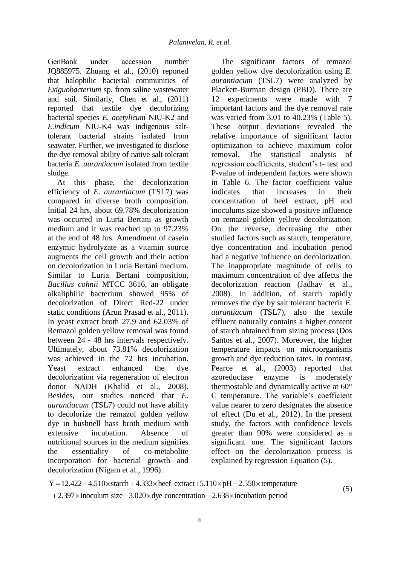GenBank under accession number JQ885975. Zhuang et al., (2010) reported that halophilic bacterial communities of *Exiguobacterium* sp. from saline wastewater and soil. Similarly, Chen et al., (2011) reported that textile dye decolorizing bacterial species *E. acetylicum* NIU-K2 and *E.indicum* NIU-K4 was indigenous salttolerant bacterial strains isolated from seawater. Further, we investigated to disclose the dye removal ability of native salt tolerant bacteria *E. aurantiacum* isolated from textile sludge.

At this phase, the decolorization efficiency of *E. aurantiacum* (TSL7) was compared in diverse broth composition. Initial 24 hrs, about 69.78% decolorization was occurred in Luria Bertani as growth medium and it was reached up to 97.23% at the end of 48 hrs. Amendment of casein enzymic hydrolyzate as a vitamin source augments the cell growth and their action on decolorization in Luria Bertani medium. Similar to Luria Bertani composition, *Bacillus cohnii* MTCC 3616, an obligate alkaliphilic bacterium showed 95% of decolorization of Direct Red-22 under static conditions (Arun Prasad et al., 2011). In yeast extract broth 27.9 and 62.03% of Remazol golden yellow removal was found between 24 - 48 hrs intervals respectively. Ultimately, about 73.81% decolorization was achieved in the 72 hrs incubation. Yeast extract enhanced the dye decolorization via regeneration of electron donor NADH (Khalid et al., 2008). Besides, our studies noticed that *E. aurantiacum* (TSL7) could not have ability to decolorize the remazol golden yellow dye in bushnell hass broth medium with extensive incubation. Absence of nutritional sources in the medium signifies the essentiality of co-metabolite incorporation for bacterial growth and decolorization (Nigam et al., 1996).

The significant factors of remazol golden yellow dye decolorization using *E. aurantiacum* (TSL7) were analyzed by Plackett-Burman design (PBD). There are 12 experiments were made with 7 important factors and the dye removal rate was varied from 3.01 to 40.23% (Table 5). These output deviations revealed the relative importance of significant factor optimization to achieve maximum color removal. The statistical analysis of regression coefficients, student's t- test and P-value of independent factors were shown in Table 6. The factor coefficient value indicates that increases in their concentration of beef extract, pH and inoculums size showed a positive influence on remazol golden yellow decolorization. On the reverse, decreasing the other studied factors such as starch, temperature, dye concentration and incubation period had a negative influence on decolorization. The inappropriate magnitude of cells to maximum concentration of dye affects the decolorization reaction (Jadhav et al., 2008). In addition, of starch rapidly removes the dye by salt tolerant bacteria *E. aurantiacum* (TSL7), also the textile effluent naturally contains a higher content of starch obtained from sizing process (Dos Santos et al., 2007). Moreover, the higher temperature impacts on microorganisms growth and dye reduction rates. In contrast, Pearce et al., (2003) reported that azoreductase enzyme is moderately thermostable and dynamically active at 60° C temperature. The variable's coefficient value nearer to zero designates the absence of effect (Du et al., 2012). In the present study, the factors with confidence levels greater than 90% were considered as a significant one. The significant factors effect on the decolorization process is explained by regression Equation (5).

Find the essential growth and explained by regression Equation (Nigam et al., 1996).<br>  $Y = 12.422 - 4.510 \times \text{start} + 4.333 \times \text{beef}$  extract  $+5.110 \times \text{pH} - 2.550 \times \text{temperature}$ decolorization (Nigam et al., 1996).<br>  $Y = 12.422 - 4.510 \times \text{starch} + 4.333 \times \text{beef}$  extract +5.110 × pH – 2.550 × temperat<br>
+2.397 × inoculum size – 3.020 × dye concentration – 2.638 × incubation period Exercise the essentiality of co-metabolite effect on the decolorization for bacterial growth and explained by regression Eq<br>colorization (Nigam et al., 1996).<br>= 12.422 – 4.510 × starch + 4.333 × beef extract + 5.110 × pH  $+2.397 \times$  inoculum size  $-3.020 \times$  dye concentration  $-2.638 \times$  incubation period

(5)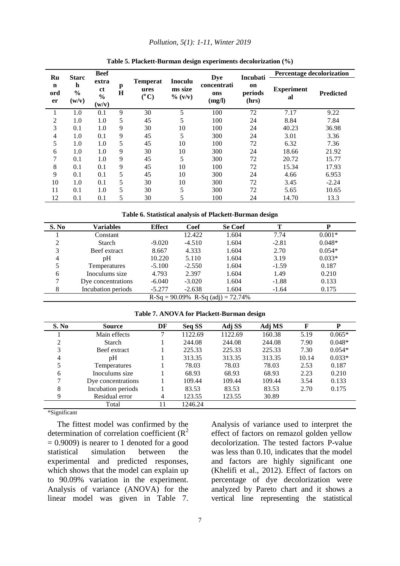#### *Pollution, 5(1): 1-11, Winter 2019*

|                                | <b>Starc</b>                | <b>Beef</b>                                                          |        |                                          |                                  |                                            | Incubati               | Percentage decolorization |                  |
|--------------------------------|-----------------------------|----------------------------------------------------------------------|--------|------------------------------------------|----------------------------------|--------------------------------------------|------------------------|---------------------------|------------------|
| Ru<br>$\mathbf n$<br>ord<br>er | h<br>$\frac{6}{6}$<br>(w/v) | extra<br><sub>ct</sub><br>$\frac{0}{0}$<br>$(\mathbf{w}/\mathbf{v})$ | p<br>H | <b>Temperat</b><br>ures<br>$(^{\circ}C)$ | Inoculu<br>ms size<br>$\% (v/v)$ | <b>Dye</b><br>concentrati<br>ons<br>(mg/l) | on<br>periods<br>(hrs) | <b>Experiment</b><br>al   | <b>Predicted</b> |
|                                | 1.0                         | 0.1                                                                  | 9      | 30                                       | 5                                | 100                                        | 72                     | 7.17                      | 9.22             |
| 2                              | 1.0                         | 1.0                                                                  | 5      | 45                                       | 5                                | 100                                        | 24                     | 8.84                      | 7.84             |
| 3                              | 0.1                         | 1.0                                                                  | 9      | 30                                       | 10                               | 100                                        | 24                     | 40.23                     | 36.98            |
| 4                              | 1.0                         | 0.1                                                                  | 9      | 45                                       | 5                                | 300                                        | 24                     | 3.01                      | 3.36             |
| 5                              | 1.0                         | 1.0                                                                  | 5      | 45                                       | 10                               | 100                                        | 72                     | 6.32                      | 7.36             |
| 6                              | 1.0                         | 1.0                                                                  | 9      | 30                                       | 10                               | 300                                        | 24                     | 18.66                     | 21.92            |
| 7                              | 0.1                         | 1.0                                                                  | 9      | 45                                       | 5                                | 300                                        | 72                     | 20.72                     | 15.77            |
| 8                              | 0.1                         | 0.1                                                                  | 9      | 45                                       | 10                               | 100                                        | 72                     | 15.34                     | 17.93            |
| 9                              | 0.1                         | 0.1                                                                  | 5      | 45                                       | 10                               | 300                                        | 24                     | 4.66                      | 6.953            |
| 10                             | 1.0                         | 0.1                                                                  | 5      | 30                                       | 10                               | 300                                        | 72                     | 3.45                      | $-2.24$          |
| 11                             | 0.1                         | 1.0                                                                  | 5      | 30                                       | 5                                | 300                                        | 72                     | 5.65                      | 10.65            |
| 12                             | 0.1                         | 0.1                                                                  | 5      | 30                                       | 5                                | 100                                        | 24                     | 14.70                     | 13.3             |

#### **Table 5. Plackett-Burman design experiments decolorization (%)**

**Table 6. Statistical analysis of Plackett-Burman design**

| S. No | Variables          | <b>Effect</b> | Coef     | <b>Se Coef</b>                        | Т       | P        |
|-------|--------------------|---------------|----------|---------------------------------------|---------|----------|
|       | Constant           |               | 12.422   | 1.604                                 | 7.74    | $0.001*$ |
| ◠     | Starch             | $-9.020$      | $-4.510$ | 1.604                                 | $-2.81$ | $0.048*$ |
| 3     | Beef extract       | 8.667         | 4.333    | 1.604                                 | 2.70    | $0.054*$ |
| 4     | pΗ                 | 10.220        | 5.110    | 1.604                                 | 3.19    | $0.033*$ |
|       | Temperatures       | $-5.100$      | $-2.550$ | 1.604                                 | $-1.59$ | 0.187    |
| 6     | Inoculums size     | 4.793         | 2.397    | 1.604                                 | 1.49    | 0.210    |
|       | Dye concentrations | $-6.040$      | $-3.020$ | 1.604                                 | $-1.88$ | 0.133    |
| 8     | Incubation periods | $-5.277$      | $-2.638$ | 1.604                                 | $-1.64$ | 0.175    |
|       |                    |               |          | $R-Sq = 90.09\% R-Sq (adj) = 72.74\%$ |         |          |

**Table 7. ANOVA for Plackett-Burman design** 

| S. No | <b>Source</b>      | DF | Seq SS  | Adj SS  | Adj MS | $\mathbf F$ | P        |
|-------|--------------------|----|---------|---------|--------|-------------|----------|
|       | Main effects       | 7  | 1122.69 | 1122.69 | 160.38 | 5.19        | $0.065*$ |
|       | Starch             |    | 244.08  | 244.08  | 244.08 | 7.90        | $0.048*$ |
| 3     | Beef extract       |    | 225.33  | 225.33  | 225.33 | 7.30        | $0.054*$ |
| 4     | pΗ                 |    | 313.35  | 313.35  | 313.35 | 10.14       | $0.033*$ |
|       | Temperatures       |    | 78.03   | 78.03   | 78.03  | 2.53        | 0.187    |
| 6     | Inoculums size     |    | 68.93   | 68.93   | 68.93  | 2.23        | 0.210    |
|       | Dye concentrations |    | 109.44  | 109.44  | 109.44 | 3.54        | 0.133    |
| 8     | Incubation periods |    | 83.53   | 83.53   | 83.53  | 2.70        | 0.175    |
| 9     | Residual error     | 4  | 123.55  | 123.55  | 30.89  |             |          |
|       | Total              | 11 | 1246.24 |         |        |             |          |

\*Significant

The fittest model was confirmed by the determination of correlation coefficient  $(R^2)$  $= 0.9009$ ) is nearer to 1 denoted for a good statistical simulation between the experimental and predicted responses, which shows that the model can explain up to 90.09% variation in the experiment. Analysis of variance (ANOVA) for the linear model was given in Table 7. Analysis of variance used to interpret the effect of factors on remazol golden yellow decolorization. The tested factors P-value was less than 0.10, indicates that the model and factors are highly significant one (Khelifi et al., 2012). Effect of factors on percentage of dye decolorization were analyzed by Pareto chart and it shows a vertical line representing the statistical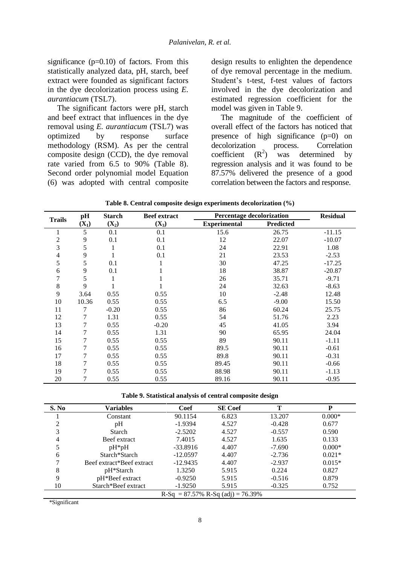significance  $(p=0.10)$  of factors. From this statistically analyzed data, pH, starch, beef extract were founded as significant factors in the dye decolorization process using *E. aurantiacum* (TSL7).

The significant factors were pH, starch and beef extract that influences in the dye removal using *E. aurantiacum* (TSL7) was optimized by response surface methodology (RSM). As per the central composite design (CCD), the dye removal rate varied from 6.5 to 90% (Table 8). Second order polynomial model Equation (6) was adopted with central composite

design results to enlighten the dependence of dye removal percentage in the medium. Student's t-test, f-test values of factors involved in the dye decolorization and estimated regression coefficient for the model was given in Table 9.

The magnitude of the coefficient of overall effect of the factors has noticed that presence of high significance (p=0) on decolorization process. Correlation<br>coefficient  $(R^2)$  was determined by coefficient ) was determined by regression analysis and it was found to be 87.57% delivered the presence of a good correlation between the factors and response.

|               | pH      | <b>Starch</b> | <b>Beef</b> extract | Percentage decolorization |           | <b>Residual</b> |
|---------------|---------|---------------|---------------------|---------------------------|-----------|-----------------|
| <b>Trails</b> | $(X_1)$ | $(X_2)$       | $(X_3)$             | <b>Experimental</b>       | Predicted |                 |
|               | 5       | 0.1           | 0.1                 | 15.6                      | 26.75     | $-11.15$        |
| 2             | 9       | 0.1           | 0.1                 | 12                        | 22.07     | $-10.07$        |
| 3             | 5       | 1             | 0.1                 | 24                        | 22.91     | 1.08            |
| 4             | 9       |               | 0.1                 | 21                        | 23.53     | $-2.53$         |
| 5             | 5       | 0.1           |                     | 30                        | 47.25     | $-17.25$        |
| 6             | 9       | 0.1           |                     | 18                        | 38.87     | $-20.87$        |
| 7             | 5       |               |                     | 26                        | 35.71     | $-9.71$         |
| 8             | 9       |               |                     | 24                        | 32.63     | $-8.63$         |
| 9             | 3.64    | 0.55          | 0.55                | 10                        | $-2.48$   | 12.48           |
| 10            | 10.36   | 0.55          | 0.55                | 6.5                       | $-9.00$   | 15.50           |
| 11            | 7       | $-0.20$       | 0.55                | 86                        | 60.24     | 25.75           |
| 12            | 7       | 1.31          | 0.55                | 54                        | 51.76     | 2.23            |
| 13            | 7       | 0.55          | $-0.20$             | 45                        | 41.05     | 3.94            |
| 14            | 7       | 0.55          | 1.31                | 90                        | 65.95     | 24.04           |
| 15            | 7       | 0.55          | 0.55                | 89                        | 90.11     | $-1.11$         |
| 16            | 7       | 0.55          | 0.55                | 89.5                      | 90.11     | $-0.61$         |
| 17            | 7       | 0.55          | 0.55                | 89.8                      | 90.11     | $-0.31$         |
| 18            | 7       | 0.55          | 0.55                | 89.45                     | 90.11     | $-0.66$         |
| 19            | 7       | 0.55          | 0.55                | 88.98                     | 90.11     | $-1.13$         |
| 20            | 7       | 0.55          | 0.55                | 89.16                     | 90.11     | $-0.95$         |

|  |  |  |  |  | Table 8. Central composite design experiments decolorization (%) |  |  |
|--|--|--|--|--|------------------------------------------------------------------|--|--|
|--|--|--|--|--|------------------------------------------------------------------|--|--|

**Table 9. Statistical analysis of central composite design**

| S. No | Variables                 | Coef       | <b>SE</b> Coef                        | т        | D        |
|-------|---------------------------|------------|---------------------------------------|----------|----------|
|       | Constant                  | 90.1154    | 6.823                                 | 13.207   | $0.000*$ |
| ↑     | pH                        | $-1.9394$  | 4.527                                 | $-0.428$ | 0.677    |
| 3     | <b>Starch</b>             | $-2.5202$  | 4.527                                 | $-0.557$ | 0.590    |
| 4     | Beef extract              | 7.4015     | 4.527                                 | 1.635    | 0.133    |
|       | $pH*_{p}H$                | $-33.8916$ | 4.407                                 | $-7.690$ | $0.000*$ |
| 6     | Starch*Starch             | $-12.0597$ | 4.407                                 | $-2.736$ | $0.021*$ |
|       | Beef extract*Beef extract | $-12.9435$ | 4.407                                 | $-2.937$ | $0.015*$ |
| 8     | pH*Starch                 | 1.3250     | 5.915                                 | 0.224    | 0.827    |
| 9     | pH*Beef extract           | $-0.9250$  | 5.915                                 | $-0.516$ | 0.879    |
| 10    | Starch*Beef extract       | $-1.9250$  | 5.915                                 | $-0.325$ | 0.752    |
|       |                           |            | $R-Sq = 87.57\% R-Sq (adj) = 76.39\%$ |          |          |

\*Significant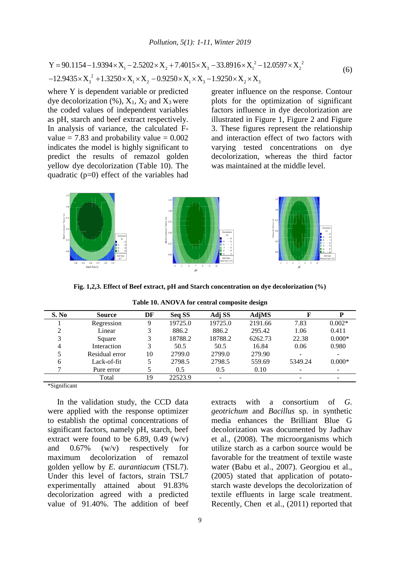2 2 1 2 3 1 2 2 3 1 2 1 3 2 3 Y 90.1154 1.9394 X 2.5202 X 7.4015 X 33.8916 X 12.0597 X 12.9435 X 1.3250 X X 0.9250 X X 1.9250 X X (6)

where Y is dependent variable or predicted dye decolorization  $(\%)$ ,  $X_1$ ,  $X_2$  and  $X_3$  were the coded values of independent variables as pH, starch and beef extract respectively. In analysis of variance, the calculated Fvalue  $= 7.83$  and probability value  $= 0.002$ indicates the model is highly significant to predict the results of remazol golden yellow dye decolorization (Table 10). The quadratic (p=0) effect of the variables had

greater influence on the response. Contour plots for the optimization of significant factors influence in dye decolorization are illustrated in Figure 1, Figure 2 and Figure 3. These figures represent the relationship and interaction effect of two factors with varying tested concentrations on dye decolorization, whereas the third factor was maintained at the middle level.



**Fig. 1,2,3. Effect of Beef extract, pH and Starch concentration on dye decolorization (%)**

**Table 10. ANOVA for central composite design**

| S. No | <b>Source</b>  | DF | Seq SS  | Adj SS  | AdjMS   |         | D                        |
|-------|----------------|----|---------|---------|---------|---------|--------------------------|
|       | Regression     |    | 19725.0 | 19725.0 | 2191.66 | 7.83    | $0.002*$                 |
|       | Linear         |    | 886.2   | 886.2   | 295.42  | 1.06    | 0.411                    |
|       | Square         |    | 18788.2 | 18788.2 | 6262.73 | 22.38   | $0.000*$                 |
| 4     | Interaction    |    | 50.5    | 50.5    | 16.84   | 0.06    | 0.980                    |
|       | Residual error | 10 | 2799.0  | 2799.0  | 279.90  | -       | $\overline{\phantom{a}}$ |
| h     | Lack-of-fit    |    | 2798.5  | 2798.5  | 559.69  | 5349.24 | $0.000*$                 |
|       | Pure error     |    | 0.5     | 0.5     | 0.10    | ۰       |                          |
|       | Total          | 19 | 22523.9 |         |         | ۰       |                          |

\*Significant

In the validation study, the CCD data were applied with the response optimizer to establish the optimal concentrations of significant factors, namely pH, starch, beef extract were found to be 6.89, 0.49  $(w/v)$ and 0.67% (w/v) respectively for maximum decolorization of remazol golden yellow by *E. aurantiacum* (TSL7). Under this level of factors, strain TSL7 experimentally attained about 91.83% decolorization agreed with a predicted value of 91.40%. The addition of beef

extracts with a consortium of *G. geotrichum* and *Bacillus* sp. in synthetic media enhances the Brilliant Blue G decolorization was documented by Jadhav et al., (2008). The microorganisms which utilize starch as a carbon source would be favorable for the treatment of textile waste water (Babu et al., 2007). Georgiou et al., (2005) stated that application of potatostarch waste develops the decolorization of textile effluents in large scale treatment. Recently, Chen et al., (2011) reported that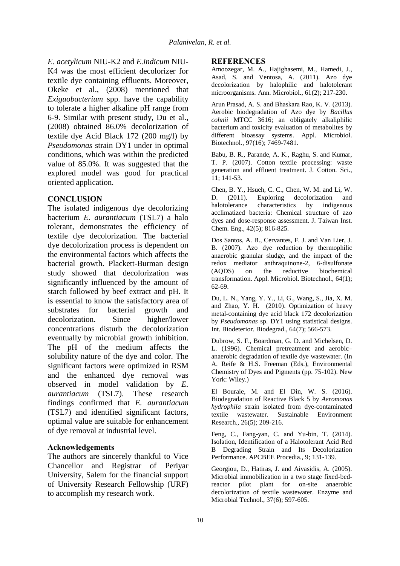*E. acetylicum* NIU-K2 and *E.indicum* NIU-K4 was the most efficient decolorizer for textile dye containing effluents. Moreover, Okeke et al., (2008) mentioned that *Exiguobacterium* spp. have the capability to tolerate a higher alkaline pH range from 6-9. Similar with present study, Du et al., (2008) obtained 86.0% decolorization of textile dye Acid Black 172 (200 mg/l) by *Pseudomonas* strain DY1 under in optimal conditions, which was within the predicted value of 85.0%. It was suggested that the explored model was good for practical oriented application.

## **CONCLUSION**

The isolated indigenous dye decolorizing bacterium *E. aurantiacum* (TSL7) a halo tolerant, demonstrates the efficiency of textile dye decolorization. The bacterial dye decolorization process is dependent on the environmental factors which affects the bacterial growth. Plackett-Burman design study showed that decolorization was significantly influenced by the amount of starch followed by beef extract and pH. It is essential to know the satisfactory area of substrates for bacterial growth and decolorization. Since higher/lower concentrations disturb the decolorization eventually by microbial growth inhibition. The pH of the medium affects the solubility nature of the dye and color. The significant factors were optimized in RSM and the enhanced dye removal was observed in model validation by *E. aurantiacum* (TSL7). These research findings confirmed that *E. aurantiacum* (TSL7) and identified significant factors, optimal value are suitable for enhancement of dye removal at industrial level.

## **Acknowledgements**

The authors are sincerely thankful to Vice Chancellor and Registrar of Periyar University, Salem for the financial support of University Research Fellowship (URF) to accomplish my research work.

#### **REFERENCES**

Amoozegar, M. A., Hajighasemi, M., Hamedi, J., Asad, S. and Ventosa, A. (2011). Azo dye decolorization by halophilic and halotolerant microorganisms. Ann. Microbiol., 61(2); 217-230.

Arun Prasad, A. S. and Bhaskara Rao, K. V. (2013). Aerobic biodegradation of Azo dye by *Bacillus cohnii* MTCC 3616; an obligately alkaliphilic bacterium and toxicity evaluation of metabolites by different bioassay systems. Appl. Microbiol. Biotechnol., 97(16); 7469-7481.

Babu, B. R., Parande, A. K., Raghu, S. and Kumar, T. P. (2007). Cotton textile processing: waste generation and effluent treatment. J. Cotton. Sci., 11; 141-53.

Chen, B. Y., Hsueh, C. C., Chen, W. M. and Li, W. D. (2011). Exploring decolorization and halotolerance characteristics by indigenous acclimatized bacteria: Chemical structure of azo dyes and dose-response assessment. J. Taiwan Inst. Chem. Eng., 42(5); 816-825.

Dos Santos, A. B., Cervantes, F. J. and Van Lier, J. B. (2007). Azo dye reduction by thermophilic anaerobic granular sludge, and the impact of the redox mediator anthraquinone-2, 6-disulfonate (AQDS) on the reductive biochemical transformation. Appl. Microbiol. Biotechnol., 64(1); 62-69.

Du, L. N., Yang, Y. Y., Li, G., Wang, S., Jia, X. M. and Zhao, Y. H. (2010). Optimization of heavy metal-containing dye acid black 172 decolorization by *Pseudomonas* sp. DY1 using statistical designs. Int. Biodeterior. Biodegrad., 64(7); 566-573.

Dubrow, S. F., Boardman, G. D. and Michelsen, D. L. (1996). Chemical pretreatment and aerobic– anaerobic degradation of textile dye wastewater. (In A. Reife & H.S. Freeman (Eds.), Environmental Chemistry of Dyes and Pigments (pp. 75-102). New York: Wiley.)

El Bouraie, M. and El Din, W. S. (2016). Biodegradation of Reactive Black 5 by *Aeromonas hydrophila* strain isolated from dye-contaminated textile wastewater. Sustainable Environment Research., 26(5); 209-216.

Feng, C., Fang-yan, C. and Yu-bin, T. (2014). Isolation, Identification of a Halotolerant Acid Red B Degrading Strain and Its Decolorization Performance. APCBEE Procedia., 9; 131-139.

Georgiou, D., Hatiras, J. and Aivasidis, A. (2005). Microbial immobilization in a two stage fixed-bedreactor pilot plant for on-site anaerobic decolorization of textile wastewater. Enzyme and Microbial Technol., 37(6); 597-605.